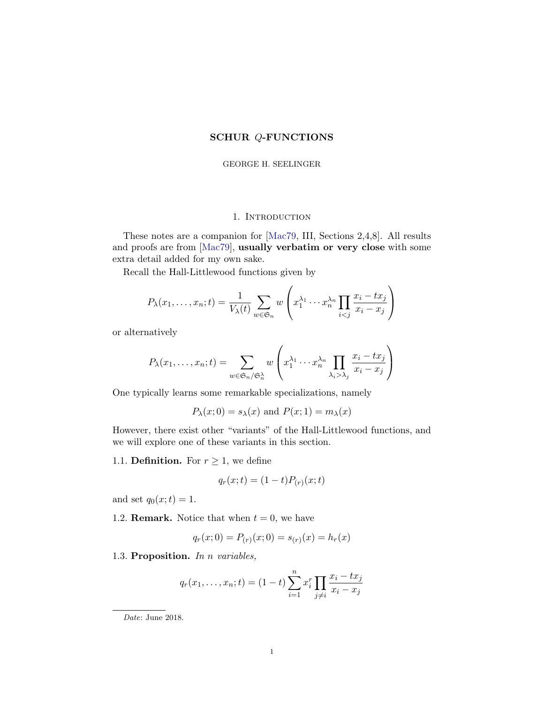## SCHUR Q-FUNCTIONS

#### GEORGE H. SEELINGER

### 1. INTRODUCTION

These notes are a companion for [\[Mac79,](#page-14-0) III, Sections 2,4,8]. All results and proofs are from [\[Mac79\]](#page-14-0), usually verbatim or very close with some extra detail added for my own sake.

Recall the Hall-Littlewood functions given by

$$
P_{\lambda}(x_1,\ldots,x_n;t) = \frac{1}{V_{\lambda}(t)}\sum_{w \in \mathfrak{S}_n} w\left(x_1^{\lambda_1}\cdots x_n^{\lambda_n}\prod_{i < j} \frac{x_i - tx_j}{x_i - x_j}\right)
$$

or alternatively

$$
P_{\lambda}(x_1,\ldots,x_n;t) = \sum_{w \in \mathfrak{S}_n/\mathfrak{S}_n^{\lambda}} w\left(x_1^{\lambda_1} \cdots x_n^{\lambda_n} \prod_{\lambda_i > \lambda_j} \frac{x_i - tx_j}{x_i - x_j}\right)
$$

One typically learns some remarkable specializations, namely

$$
P_{\lambda}(x;0) = s_{\lambda}(x)
$$
 and  $P(x;1) = m_{\lambda}(x)$ 

However, there exist other "variants" of the Hall-Littlewood functions, and we will explore one of these variants in this section.

1.1. **Definition.** For  $r \geq 1$ , we define

$$
q_r(x;t) = (1-t)P_{(r)}(x;t)
$$

and set  $q_0(x;t) = 1$ .

1.2. **Remark.** Notice that when  $t = 0$ , we have

$$
q_r(x;0) = P_{(r)}(x;0) = s_{(r)}(x) = h_r(x)
$$

1.3. Proposition. In n variables,

$$
q_r(x_1, ..., x_n; t) = (1 - t) \sum_{i=1}^n x_i^r \prod_{j \neq i} \frac{x_i - tx_j}{x_i - x_j}
$$

Date: June 2018.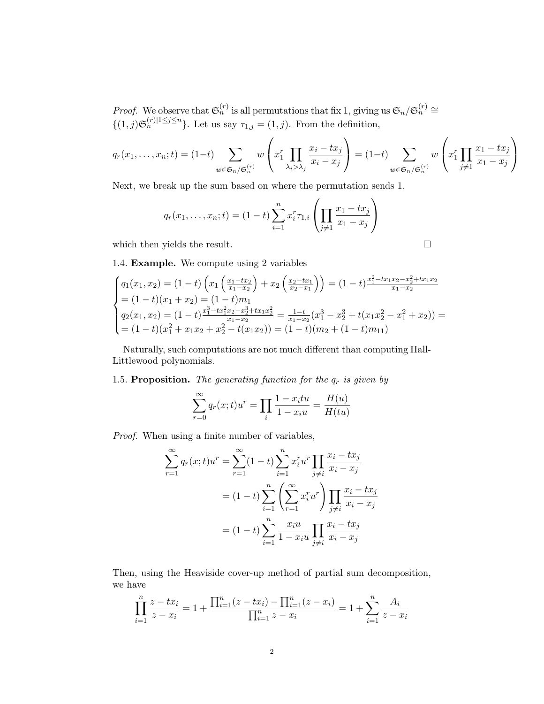*Proof.* We observe that  $\mathfrak{S}_n^{(r)}$  is all permutations that fix 1, giving us  $\mathfrak{S}_n/\mathfrak{S}_n^{(r)} \cong$  $\{(1, j) \mathfrak{S}_n^{(r)} \mid 1 \leq j \leq n\}$ . Let us say  $\tau_{1,j} = (1, j)$ . From the definition,

$$
q_r(x_1, \ldots, x_n; t) = (1-t) \sum_{w \in \mathfrak{S}_n/\mathfrak{S}_n^{(r)}} w\left(x_1^r \prod_{\lambda_i > \lambda_j} \frac{x_i - tx_j}{x_i - x_j}\right) = (1-t) \sum_{w \in \mathfrak{S}_n/\mathfrak{S}_n^{(r)}} w\left(x_1^r \prod_{j \neq 1} \frac{x_1 - tx_j}{x_1 - x_j}\right)
$$

Next, we break up the sum based on where the permutation sends 1.

$$
q_r(x_1, \ldots, x_n; t) = (1 - t) \sum_{i=1}^n x_i^r \tau_{1,i} \left( \prod_{j \neq 1} \frac{x_1 - tx_j}{x_1 - x_j} \right)
$$

which then yields the result.  $\Box$ 

1.4. Example. We compute using 2 variables

$$
\begin{cases}\nq_1(x_1, x_2) = (1-t)\left(x_1\left(\frac{x_1 - tx_2}{x_1 - x_2}\right) + x_2\left(\frac{x_2 - tx_1}{x_2 - x_1}\right)\right) = (1-t)\frac{x_1^2 - tx_1x_2 - x_2^2 + tx_1x_2}{x_1 - x_2} \\
= (1-t)(x_1 + x_2) = (1-t)m_1 \\
q_2(x_1, x_2) = (1-t)\frac{x_1^3 - tx_1^2x_2 - x_2^3 + tx_1x_2^2}{x_1 - x_2} = \frac{1-t}{x_1 - x_2}(x_1^3 - x_2^3 + t(x_1x_2^2 - x_1^2 + x_2)) = \\
= (1-t)(x_1^2 + x_1x_2 + x_2^2 - t(x_1x_2)) = (1-t)(m_2 + (1-t)m_{11})\n\end{cases}
$$

Naturally, such computations are not much different than computing Hall-Littlewood polynomials.

<span id="page-1-0"></span>1.5. Proposition. The generating function for the  $q_r$  is given by

$$
\sum_{r=0}^{\infty} q_r(x; t)u^r = \prod_i \frac{1 - x_i t u}{1 - x_i u} = \frac{H(u)}{H(tu)}
$$

Proof. When using a finite number of variables,

$$
\sum_{r=1}^{\infty} q_r(x;t)u^r = \sum_{r=1}^{\infty} (1-t) \sum_{i=1}^n x_i^r u^r \prod_{j \neq i} \frac{x_i - tx_j}{x_i - x_j}
$$

$$
= (1-t) \sum_{i=1}^n \left( \sum_{r=1}^{\infty} x_i^r u^r \right) \prod_{j \neq i} \frac{x_i - tx_j}{x_i - x_j}
$$

$$
= (1-t) \sum_{i=1}^n \frac{x_i u}{1 - x_i u} \prod_{j \neq i} \frac{x_i - tx_j}{x_i - x_j}
$$

Then, using the Heaviside cover-up method of partial sum decomposition, we have

$$
\prod_{i=1}^{n} \frac{z - tx_i}{z - x_i} = 1 + \frac{\prod_{i=1}^{n} (z - tx_i) - \prod_{i=1}^{n} (z - x_i)}{\prod_{i=1}^{n} z - x_i} = 1 + \sum_{i=1}^{n} \frac{A_i}{z - x_i}
$$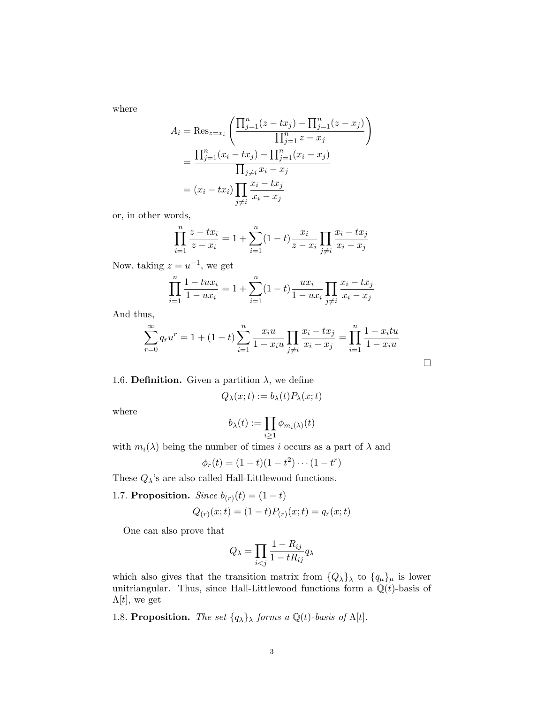where

$$
A_i = \text{Res}_{z=x_i} \left( \frac{\prod_{j=1}^n (z - tx_j) - \prod_{j=1}^n (z - x_j)}{\prod_{j=1}^n z - x_j} \right)
$$
  
= 
$$
\frac{\prod_{j=1}^n (x_i - tx_j) - \prod_{j=1}^n (x_i - x_j)}{\prod_{j \neq i} x_i - x_j}
$$
  
= 
$$
(x_i - tx_i) \prod_{j \neq i} \frac{x_i - tx_j}{x_i - x_j}
$$

or, in other words,

$$
\prod_{i=1}^{n} \frac{z - tx_i}{z - x_i} = 1 + \sum_{i=1}^{n} (1 - t) \frac{x_i}{z - x_i} \prod_{j \neq i} \frac{x_i - tx_j}{x_i - x_j}
$$

Now, taking  $z = u^{-1}$ , we get

$$
\prod_{i=1}^{n} \frac{1 - tux_i}{1 - ux_i} = 1 + \sum_{i=1}^{n} (1 - t) \frac{ux_i}{1 - ux_i} \prod_{j \neq i} \frac{x_i - tx_j}{x_i - x_j}
$$

And thus,

$$
\sum_{r=0}^{\infty} q_r u^r = 1 + (1-t) \sum_{i=1}^{n} \frac{x_i u}{1 - x_i u} \prod_{j \neq i} \frac{x_i - tx_j}{x_i - x_j} = \prod_{i=1}^{n} \frac{1 - x_i t u}{1 - x_i u}
$$

 $\hfill \square$ 

<span id="page-2-0"></span>1.6. **Definition.** Given a partition 
$$
\lambda
$$
, we define

$$
Q_{\lambda}(x;t) := b_{\lambda}(t)P_{\lambda}(x;t)
$$

where

$$
b_{\lambda}(t) := \prod_{i \geq 1} \phi_{m_i(\lambda)}(t)
$$

with  $m_i(\lambda)$  being the number of times i occurs as a part of  $\lambda$  and

$$
\phi_r(t) = (1-t)(1-t^2)\cdots(1-t^r)
$$

These  $Q_{\lambda}$ 's are also called Hall-Littlewood functions.

1.7. Proposition. Since  $b_{(r)}(t) = (1-t)$ 

$$
Q_{(r)}(x;t) = (1-t)P_{(r)}(x;t) = q_r(x;t)
$$

One can also prove that

$$
Q_{\lambda} = \prod_{i < j} \frac{1 - R_{ij}}{1 - tR_{ij}} q_{\lambda}
$$

which also gives that the transition matrix from  ${Q_{\lambda}}_{\lambda}$  to  ${q_{\mu}}_{\mu}$  is lower unitriangular. Thus, since Hall-Littlewood functions form a  $\mathbb{Q}(t)$ -basis of  $\Lambda[t]$ , we get

1.8. Proposition. The set  $\{q_\lambda\}_\lambda$  forms a  $\mathbb{Q}(t)$ -basis of  $\Lambda[t]$ .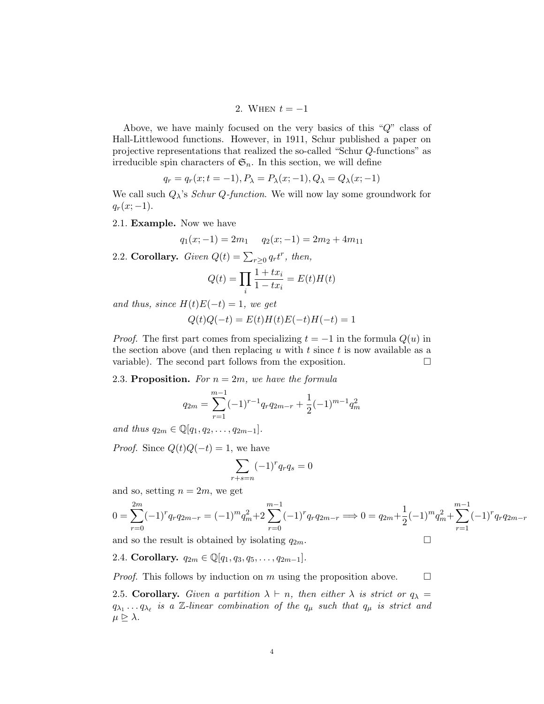2. WHEN  $t = -1$ 

Above, we have mainly focused on the very basics of this "Q" class of Hall-Littlewood functions. However, in 1911, Schur published a paper on projective representations that realized the so-called "Schur Q-functions" as irreducible spin characters of  $\mathfrak{S}_n$ . In this section, we will define

$$
q_r = q_r(x; t = -1), P_\lambda = P_\lambda(x; -1), Q_\lambda = Q_\lambda(x; -1)
$$

We call such  $Q_{\lambda}$ 's *Schur Q-function*. We will now lay some groundwork for  $q_r(x; -1)$ .

2.1. Example. Now we have

$$
q_1(x; -1) = 2m_1 \qquad q_2(x; -1) = 2m_2 + 4m_{11}
$$

2.2. Corollary. Given  $Q(t) = \sum_{r \geq 0} q_r t^r$ , then,

$$
Q(t) = \prod_i \frac{1+tx_i}{1-tx_i} = E(t)H(t)
$$

and thus, since  $H(t)E(-t) = 1$ , we get

$$
Q(t)Q(-t) = E(t)H(t)E(-t)H(-t) = 1
$$

*Proof.* The first part comes from specializing  $t = -1$  in the formula  $Q(u)$  in the section above (and then replacing u with t since t is now available as a variable). The second part follows from the exposition.  $\Box$ 

2.3. Proposition. For  $n = 2m$ , we have the formula

$$
q_{2m} = \sum_{r=1}^{m-1} (-1)^{r-1} q_r q_{2m-r} + \frac{1}{2} (-1)^{m-1} q_m^2
$$

and thus  $q_{2m} \in \mathbb{Q}[q_1, q_2, \ldots, q_{2m-1}].$ 

*Proof.* Since  $Q(t)Q(-t) = 1$ , we have

$$
\sum_{r+s=n} (-1)^r q_r q_s = 0
$$

and so, setting  $n = 2m$ , we get

$$
0 = \sum_{r=0}^{2m} (-1)^r q_r q_{2m-r} = (-1)^m q_m^2 + 2 \sum_{r=0}^{m-1} (-1)^r q_r q_{2m-r} \Longrightarrow 0 = q_{2m} + \frac{1}{2} (-1)^m q_m^2 + \sum_{r=1}^{m-1} (-1)^r q_r q_{2m-r}
$$

and so the result is obtained by isolating  $q_{2m}$ .

2.4. Corollary.  $q_{2m} \in \mathbb{Q}[q_1, q_3, q_5, \ldots, q_{2m-1}].$ 

*Proof.* This follows by induction on m using the proposition above.  $\Box$ 

<span id="page-3-0"></span>2.5. Corollary. Given a partition  $\lambda \vdash n$ , then either  $\lambda$  is strict or  $q_{\lambda} =$  $q_{\lambda_1} \ldots q_{\lambda_\ell}$  is a Z-linear combination of the  $q_\mu$  such that  $q_\mu$  is strict and  $\mu \trianglerighteq \lambda$ .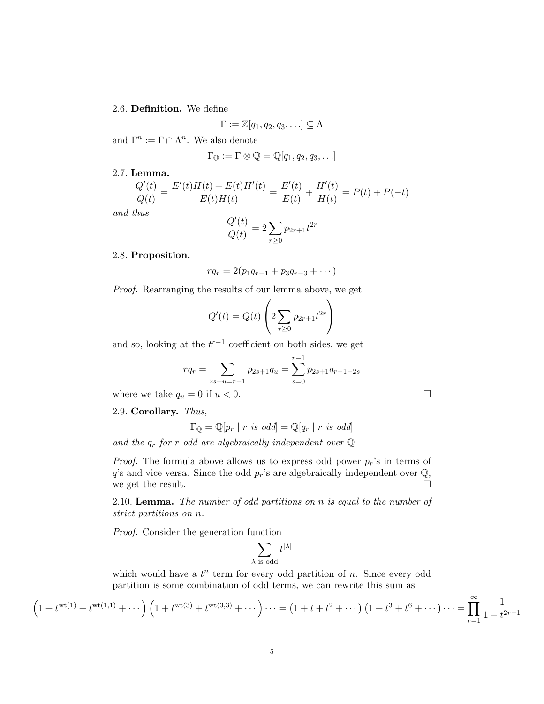## 2.6. Definition. We define

$$
\Gamma := \mathbb{Z}[q_1, q_2, q_3, \ldots] \subseteq \Lambda
$$

and  $\Gamma^n := \Gamma \cap \Lambda^n$ . We also denote

$$
\Gamma_{\mathbb{Q}} := \Gamma \otimes \mathbb{Q} = \mathbb{Q}[q_1, q_2, q_3, \ldots]
$$

# 2.7. Lemma.

$$
\frac{Q'(t)}{Q(t)} = \frac{E'(t)H(t) + E(t)H'(t)}{E(t)H(t)} = \frac{E'(t)}{E(t)} + \frac{H'(t)}{H(t)} = P(t) + P(-t)
$$

and thus

$$
\frac{Q'(t)}{Q(t)} = 2\sum_{r\geq 0} p_{2r+1}t^{2r}
$$

## 2.8. Proposition.

$$
rq_r = 2(p_1q_{r-1} + p_3q_{r-3} + \cdots)
$$

Proof. Rearranging the results of our lemma above, we get

$$
Q'(t) = Q(t) \left( 2 \sum_{r \ge 0} p_{2r+1} t^{2r} \right)
$$

and so, looking at the  $t^{r-1}$  coefficient on both sides, we get

$$
rq_r = \sum_{2s+u=r-1} p_{2s+1}q_u = \sum_{s=0}^{r-1} p_{2s+1}q_{r-1-2s}
$$

where we take  $q_u = 0$  if  $u < 0$ .

2.9. Corollary. Thus,

$$
\Gamma_{\mathbb{Q}} = \mathbb{Q}[p_r \mid r \text{ is odd}] = \mathbb{Q}[q_r \mid r \text{ is odd}]
$$

and the  $q_r$  for r odd are algebraically independent over  $\mathbb Q$ 

*Proof.* The formula above allows us to express odd power  $p_r$ 's in terms of  $q$ 's and vice versa. Since the odd  $p_r$ 's are algebraically independent over  $\mathbb{Q}$ , we get the result.  $\Box$ 

2.10. Lemma. The number of odd partitions on n is equal to the number of strict partitions on n.

Proof. Consider the generation function

$$
\sum_{\lambda \text{ is odd}} t^{|\lambda|}
$$

which would have a  $t^n$  term for every odd partition of n. Since every odd partition is some combination of odd terms, we can rewrite this sum as

$$
\left(1 + t^{wt(1)} + t^{wt(1,1)} + \cdots\right) \left(1 + t^{wt(3)} + t^{wt(3,3)} + \cdots\right) \cdots = \left(1 + t + t^2 + \cdots\right) \left(1 + t^3 + t^6 + \cdots\right) \cdots = \prod_{r=1}^{\infty} \frac{1}{1 - t^{2r-1}}
$$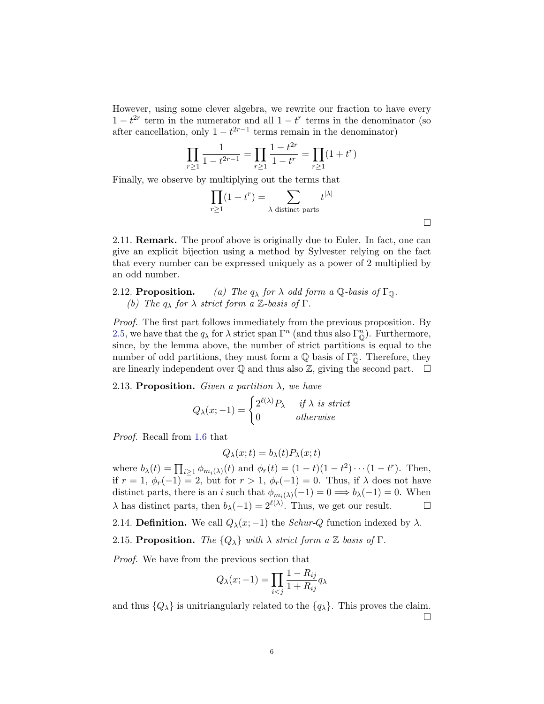However, using some clever algebra, we rewrite our fraction to have every  $1-t^{2r}$  term in the numerator and all  $1-t^r$  terms in the denominator (so after cancellation, only  $1 - t^{2r-1}$  terms remain in the denominator)

$$
\prod_{r\geq 1} \frac{1}{1-t^{2r-1}} = \prod_{r\geq 1} \frac{1-t^{2r}}{1-t^r} = \prod_{r\geq 1} (1+t^r)
$$

Finally, we observe by multiplying out the terms that

$$
\prod_{r\geq 1} (1+t^r) = \sum_{\lambda \text{ distinct parts}} t^{|\lambda|}
$$

2.11. Remark. The proof above is originally due to Euler. In fact, one can give an explicit bijection using a method by Sylvester relying on the fact that every number can be expressed uniquely as a power of 2 multiplied by an odd number.

## 2.12. **Proposition.** (a) The  $q_{\lambda}$  for  $\lambda$  odd form a Q-basis of  $\Gamma_{\mathbb{Q}}$ . (b) The  $q_{\lambda}$  for  $\lambda$  strict form a Z-basis of  $\Gamma$ .

Proof. The first part follows immediately from the previous proposition. By [2.5,](#page-3-0) we have that the  $q_{\lambda}$  for  $\lambda$  strict span  $\Gamma^{n}$  (and thus also  $\Gamma_{\mathbb{Q}}^{n}$ ). Furthermore, since, by the lemma above, the number of strict partitions is equal to the number of odd partitions, they must form a  $\mathbb Q$  basis of  $\Gamma_{\mathbb Q}^n$ . Therefore, they are linearly independent over  $\mathbb Q$  and thus also  $\mathbb Z$ , giving the second part.  $\Box$ 

2.13. Proposition. Given a partition  $\lambda$ , we have

$$
Q_{\lambda}(x;-1) = \begin{cases} 2^{\ell(\lambda)}P_{\lambda} & \text{if } \lambda \text{ is strict} \\ 0 & \text{otherwise} \end{cases}
$$

Proof. Recall from [1.6](#page-2-0) that

$$
Q_{\lambda}(x;t) = b_{\lambda}(t)P_{\lambda}(x;t)
$$

where  $b_{\lambda}(t) = \prod_{i \geq 1} \phi_{m_i(\lambda)}(t)$  and  $\phi_r(t) = (1 - t)(1 - t^2) \cdots (1 - t^r)$ . Then, if  $r = 1$ ,  $\phi_r(-1) = 2$ , but for  $r > 1$ ,  $\phi_r(-1) = 0$ . Thus, if  $\lambda$  does not have distinct parts, there is an i such that  $\phi_{m_i(\lambda)}(-1) = 0 \Longrightarrow b_{\lambda}(-1) = 0$ . When  $\lambda$  has distinct parts, then  $b_{\lambda}(-1) = 2^{\ell(\lambda)}$ . Thus, we get our result.  $\Box$ 

2.14. Definition. We call  $Q_{\lambda}(x; -1)$  the *Schur-Q* function indexed by  $\lambda$ .

2.15. Proposition. The  ${Q_{\lambda}}$  with  $\lambda$  strict form a Z basis of  $\Gamma$ .

Proof. We have from the previous section that

$$
Q_{\lambda}(x;-1) = \prod_{i < j} \frac{1 - R_{ij}}{1 + R_{ij}} q_{\lambda}
$$

and thus  $\{Q_{\lambda}\}\$ is unitriangularly related to the  $\{q_{\lambda}\}\$ . This proves the claim.  $\Box$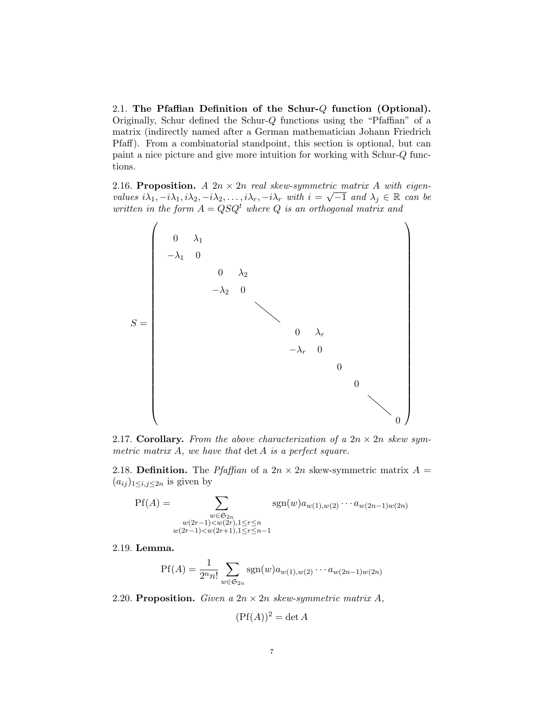2.1. The Pfaffian Definition of the Schur-Q function (Optional). Originally, Schur defined the Schur-Q functions using the "Pfaffian" of a matrix (indirectly named after a German mathematician Johann Friedrich Pfaff). From a combinatorial standpoint, this section is optional, but can paint a nice picture and give more intuition for working with Schur-Q functions.

2.16. Proposition.  $A \nvert 2n \times 2n \nvert$  real skew-symmetric matrix  $A$  with eigenvalues  $i\lambda_1, -i\lambda_1, i\lambda_2, -i\lambda_2, \ldots, i\lambda_r, -i\lambda_r$  with  $i = \sqrt{-1}$  and  $\lambda_j \in \mathbb{R}$  can be written in the form  $A = QSQ^t$  where Q is an orthogonal matrix and



2.17. Corollary. From the above characterization of a  $2n \times 2n$  skew symmetric matrix  $A$ , we have that  $\det A$  is a perfect square.

2.18. Definition. The Pfaffian of a  $2n \times 2n$  skew-symmetric matrix  $A =$  $(a_{ij})_{1\leq i,j\leq 2n}$  is given by

$$
Pf(A) = \sum_{\substack{w \in \mathfrak{S}_{2n} \\ w(2r-1) < w(2r), 1 \le r \le n \\ w(2r-1) < w(2r+1), 1 \le r \le n-1}} sgn(w) a_{w(1), w(2)} \cdots a_{w(2n-1)w(2n)}
$$

2.19. Lemma.

$$
Pf(A) = \frac{1}{2^n n!} \sum_{w \in \mathfrak{S}_{2n}} sgn(w) a_{w(1),w(2)} \cdots a_{w(2n-1)w(2n)}
$$

2.20. Proposition. Given a  $2n \times 2n$  skew-symmetric matrix A,

$$
(\mathrm{Pf}(A))^2 = \det A
$$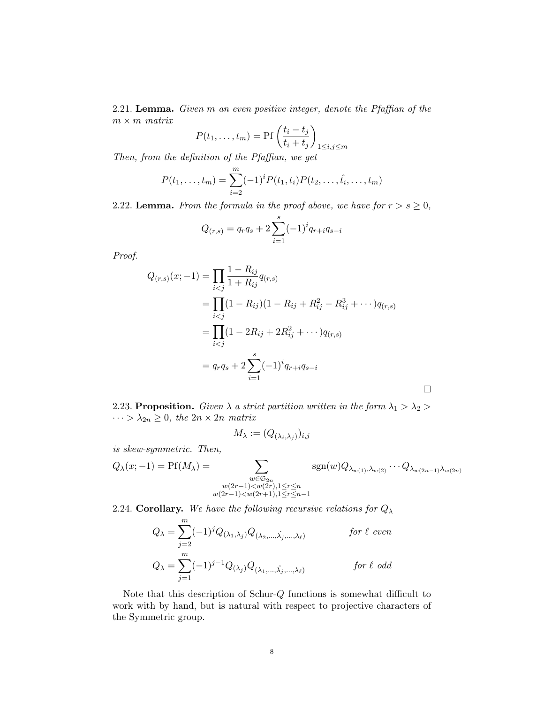2.21. Lemma. Given m an even positive integer, denote the Pfaffian of the  $m \times m$  matrix

$$
P(t_1, \dots, t_m) = \Pr\left(\frac{t_i - t_j}{t_i + t_j}\right)_{1 \le i, j \le m}
$$

Then, from the definition of the Pfaffian, we get

$$
P(t_1, ..., t_m) = \sum_{i=2}^m (-1)^i P(t_1, t_i) P(t_2, ..., t_i, ..., t_m)
$$

2.22. Lemma. From the formula in the proof above, we have for  $r > s \geq 0$ ,

$$
Q_{(r,s)} = q_r q_s + 2 \sum_{i=1}^{s} (-1)^i q_{r+i} q_{s-i}
$$

Proof.

$$
Q_{(r,s)}(x; -1) = \prod_{i < j} \frac{1 - R_{ij}}{1 + R_{ij}} q_{(r,s)}
$$
\n
$$
= \prod_{i < j} (1 - R_{ij})(1 - R_{ij} + R_{ij}^2 - R_{ij}^3 + \cdots) q_{(r,s)}
$$
\n
$$
= \prod_{i < j} (1 - 2R_{ij} + 2R_{ij}^2 + \cdots) q_{(r,s)}
$$
\n
$$
= q_r q_s + 2 \sum_{i=1}^s (-1)^i q_{r+i} q_{s-i}
$$

 $\Box$ 

2.23. Proposition. Given  $\lambda$  a strict partition written in the form  $\lambda_1 > \lambda_2 >$  $\cdots > \lambda_{2n} \geq 0$ , the  $2n \times 2n$  matrix

$$
M_{\lambda} := (Q_{(\lambda_i, \lambda_j)})_{i,j}
$$

is skew-symmetric. Then,

$$
Q_{\lambda}(x;-1) = \text{Pf}(M_{\lambda}) = \sum_{\substack{w \in \mathfrak{S}_{2n} \\ w(2r-1) < w(2r), 1 \leq r \leq n \\ w(2r-1) < w(2r+1), 1 \leq r \leq n-1}} \text{sgn}(w) Q_{\lambda_{w(1)}, \lambda_{w(2)}} \cdots Q_{\lambda_{w(2n-1)} \lambda_{w(2n)}}
$$

2.24. Corollary. We have the following recursive relations for  $Q_{\lambda}$ 

$$
Q_{\lambda} = \sum_{j=2}^{m} (-1)^{j} Q_{(\lambda_1, \lambda_j)} Q_{(\lambda_2, \dots, \hat{\lambda_j}, \dots, \lambda_\ell)}
$$
 for  $\ell$  even  

$$
Q_{\lambda} = \sum_{j=1}^{m} (-1)^{j-1} Q_{(\lambda_j)} Q_{(\lambda_1, \dots, \hat{\lambda_j}, \dots, \lambda_\ell)}
$$
 for  $\ell$  odd

Note that this description of Schur-Q functions is somewhat difficult to work with by hand, but is natural with respect to projective characters of the Symmetric group.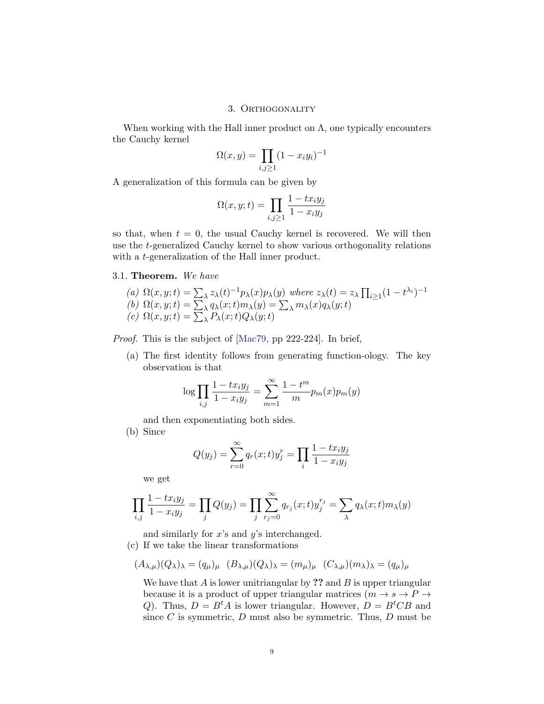## 3. ORTHOGONALITY

When working with the Hall inner product on  $\Lambda$ , one typically encounters the Cauchy kernel

$$
\Omega(x,y) = \prod_{i,j\geq 1} (1 - x_i y_i)^{-1}
$$

A generalization of this formula can be given by

$$
\Omega(x, y; t) = \prod_{i, j \ge 1} \frac{1 - tx_i y_j}{1 - x_i y_j}
$$

so that, when  $t = 0$ , the usual Cauchy kernel is recovered. We will then use the t-generalized Cauchy kernel to show various orthogonality relations with a *t*-generalization of the Hall inner product.

## <span id="page-8-0"></span>3.1. Theorem. We have

(a) 
$$
\Omega(x, y; t) = \sum_{\lambda} z_{\lambda}(t)^{-1} p_{\lambda}(x) p_{\lambda}(y)
$$
 where  $z_{\lambda}(t) = z_{\lambda} \prod_{i \ge 1} (1 - t^{\lambda_i})^{-1}$   
(b)  $\Omega(x, y; t) = \sum_{\lambda} q_{\lambda}(x; t) m_{\lambda}(y) = \sum_{\lambda} m_{\lambda}(x) q_{\lambda}(y; t)$   
(c)  $\Omega(x, y; t) = \sum_{\lambda} P_{\lambda}(x; t) Q_{\lambda}(y; t)$ 

Proof. This is the subject of [\[Mac79,](#page-14-0) pp 222-224]. In brief,

(a) The first identity follows from generating function-ology. The key observation is that

$$
\log \prod_{i,j} \frac{1 - tx_i y_j}{1 - x_i y_j} = \sum_{m=1}^{\infty} \frac{1 - t^m}{m} p_m(x) p_m(y)
$$

and then exponentiating both sides.

(b) Since

$$
Q(y_j) = \sum_{r=0}^{\infty} q_r(x; t) y_j^r = \prod_i \frac{1 - tx_i y_j}{1 - x_i y_j}
$$

we get

$$
\prod_{i,j} \frac{1 - tx_iy_j}{1 - x_iy_j} = \prod_j Q(y_j) = \prod_j \sum_{r_j=0}^{\infty} q_{r_j}(x;t) y_j^{r_j} = \sum_{\lambda} q_{\lambda}(x;t) m_{\lambda}(y)
$$

and similarly for  $x$ 's and  $y$ 's interchanged.

(c) If we take the linear transformations

$$
(A_{\lambda,\mu})(Q_{\lambda})_{\lambda} = (q_{\mu})_{\mu} (B_{\lambda,\mu})(Q_{\lambda})_{\lambda} = (m_{\mu})_{\mu} (C_{\lambda,\mu})(m_{\lambda})_{\lambda} = (q_{\mu})_{\mu}
$$

We have that  $A$  is lower unitriangular by ?? and  $B$  is upper triangular because it is a product of upper triangular matrices  $(m \rightarrow s \rightarrow P \rightarrow$ Q). Thus,  $D = B<sup>t</sup>A$  is lower triangular. However,  $D = B<sup>t</sup>CB$  and since  $C$  is symmetric,  $D$  must also be symmetric. Thus,  $D$  must be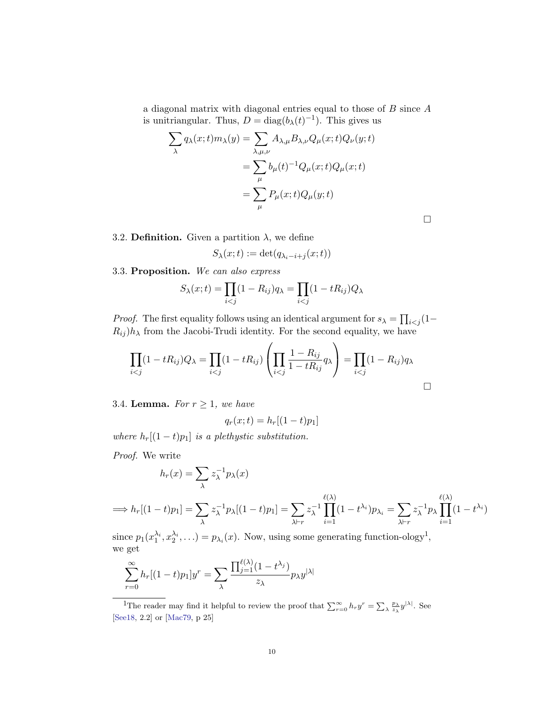a diagonal matrix with diagonal entries equal to those of B since A is unitriangular. Thus,  $D = diag(b_{\lambda}(t)^{-1})$ . This gives us

$$
\sum_{\lambda} q_{\lambda}(x;t)m_{\lambda}(y) = \sum_{\lambda,\mu,\nu} A_{\lambda,\mu} B_{\lambda,\nu} Q_{\mu}(x;t) Q_{\nu}(y;t)
$$

$$
= \sum_{\mu} b_{\mu}(t)^{-1} Q_{\mu}(x;t) Q_{\mu}(x;t)
$$

$$
= \sum_{\mu} P_{\mu}(x;t) Q_{\mu}(y;t)
$$

3.2. **Definition.** Given a partition  $\lambda$ , we define

$$
S_{\lambda}(x;t) := \det(q_{\lambda_i - i + j}(x;t))
$$

3.3. Proposition. We can also express

$$
S_{\lambda}(x;t) = \prod_{i < j} (1 - R_{ij}) q_{\lambda} = \prod_{i < j} (1 - tR_{ij}) Q_{\lambda}
$$

*Proof.* The first equality follows using an identical argument for  $s_{\lambda} = \prod_{i < j} (1 R_{ij}$ ) $h_{\lambda}$  from the Jacobi-Trudi identity. For the second equality, we have

$$
\prod_{i < j} (1 - tR_{ij})Q_{\lambda} = \prod_{i < j} (1 - tR_{ij}) \left( \prod_{i < j} \frac{1 - R_{ij}}{1 - tR_{ij}} q_{\lambda} \right) = \prod_{i < j} (1 - R_{ij}) q_{\lambda}
$$

3.4. **Lemma.** For  $r \geq 1$ , we have

$$
q_r(x;t) = h_r[(1-t)p_1]
$$

where  $h_r[(1-t)p_1]$  is a plethystic substitution.

Proof. We write

$$
h_r(x) = \sum_{\lambda} z_{\lambda}^{-1} p_{\lambda}(x)
$$

$$
\implies h_r[(1-t)p_1] = \sum_{\lambda} z_{\lambda}^{-1} p_{\lambda}[(1-t)p_1] = \sum_{\lambda \vdash r} z_{\lambda}^{-1} \prod_{i=1}^{\ell(\lambda)} (1-t^{\lambda_i}) p_{\lambda_i} = \sum_{\lambda \vdash r} z_{\lambda}^{-1} p_{\lambda} \prod_{i=1}^{\ell(\lambda)} (1-t^{\lambda_i})
$$

since  $p_1(x_1^{\lambda_i}, x_2^{\lambda_i}, \ldots) = p_{\lambda_i}(x)$ . Now, using some generating function-ology<sup>1</sup>, we get

$$
\sum_{r=0}^{\infty} h_r[(1-t)p_1]y^r = \sum_{\lambda} \frac{\prod_{j=1}^{\ell(\lambda)} (1-t^{\lambda_j})}{z_{\lambda}} p_{\lambda} y^{|\lambda|}
$$

<sup>1</sup>The reader may find it helpful to review the proof that  $\sum_{r=0}^{\infty} h_r y^r = \sum_{\lambda} \frac{p_{\lambda}}{z_{\lambda}} y^{|\lambda|}$ . See [\[See18,](#page-14-1) 2.2] or [\[Mac79,](#page-14-0) p 25]

 $\Box$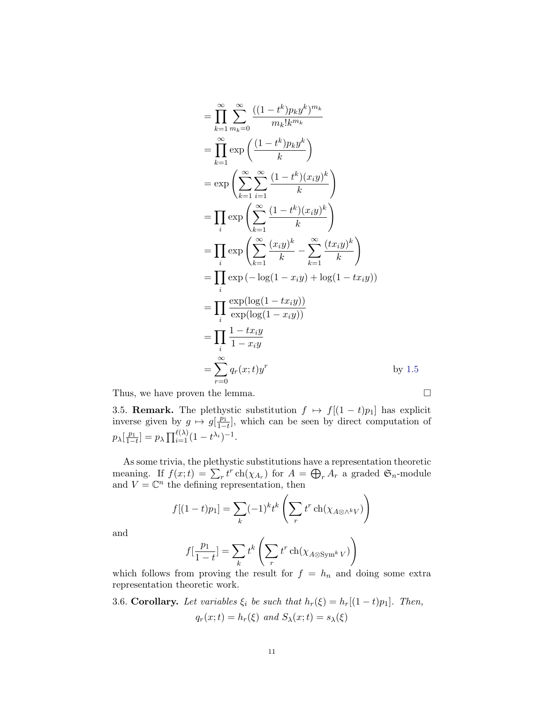$$
= \prod_{k=1}^{\infty} \sum_{m_k=0}^{\infty} \frac{((1-t^k)p_ky^k)^{m_k}}{m_k!k^{m_k}}
$$
  
\n
$$
= \prod_{k=1}^{\infty} \exp\left(\frac{(1-t^k)p_ky^k}{k}\right)
$$
  
\n
$$
= \exp\left(\sum_{k=1}^{\infty} \sum_{i=1}^{\infty} \frac{(1-t^k)(x_iy)^k}{k}\right)
$$
  
\n
$$
= \prod_{i} \exp\left(\sum_{k=1}^{\infty} \frac{(1-t^k)(x_iy)^k}{k}\right)
$$
  
\n
$$
= \prod_{i} \exp\left(\sum_{k=1}^{\infty} \frac{(x_iy)^k}{k} - \sum_{k=1}^{\infty} \frac{(tx_iy)^k}{k}\right)
$$
  
\n
$$
= \prod_{i} \exp(-\log(1 - x_iy) + \log(1 - tx_iy))
$$
  
\n
$$
= \prod_{i} \frac{\exp(\log(1 - tx_iy))}{\exp(\log(1 - x_iy))}
$$
  
\n
$$
= \prod_{i=1}^{\infty} \frac{1 - tx_iy}{1 - x_iy}
$$
  
\n
$$
= \sum_{r=0}^{\infty} q_r(x;t)y^r
$$
 by 1.5  
\nThus, we have proven the lemma.

<span id="page-10-0"></span>3.5. **Remark.** The plethystic substitution  $f \mapsto f[(1-t)p_1]$  has explicit inverse given by  $g \mapsto g\left[\frac{p_1}{1-p}\right]$  $\frac{p_1}{1-t}$ , which can be seen by direct computation of  $p_{\lambda}[\frac{p_1}{1-}$  $\frac{p_1}{1-t}$ ] =  $p_\lambda \prod_{i=1}^{\ell(\lambda)} (1-t^{\lambda_i})^{-1}$ .

As some trivia, the plethystic substitutions have a representation theoretic meaning. If  $f(x;t) = \sum_r t^r \operatorname{ch}(\chi_{A_r})$  for  $A = \bigoplus_r A_r$  a graded  $\mathfrak{S}_n$ -module and  $V = \mathbb{C}^n$  the defining representation, then

$$
f[(1-t)p_1] = \sum_k (-1)^k t^k \left( \sum_r t^r \operatorname{ch}(\chi_{A \otimes \wedge^k V}) \right)
$$

and

$$
f[\frac{p_1}{1-t}] = \sum_k t^k \left(\sum_r t^r \operatorname{ch}(\chi_{A \otimes \operatorname{Sym}^k V})\right)
$$

which follows from proving the result for  $f = h_n$  and doing some extra representation theoretic work.

3.6. Corollary. Let variables  $\xi_i$  be such that  $h_r(\xi) = h_r[(1-t)p_1]$ . Then,  $q_r(x;t) = h_r(\xi)$  and  $S_\lambda(x;t) = s_\lambda(\xi)$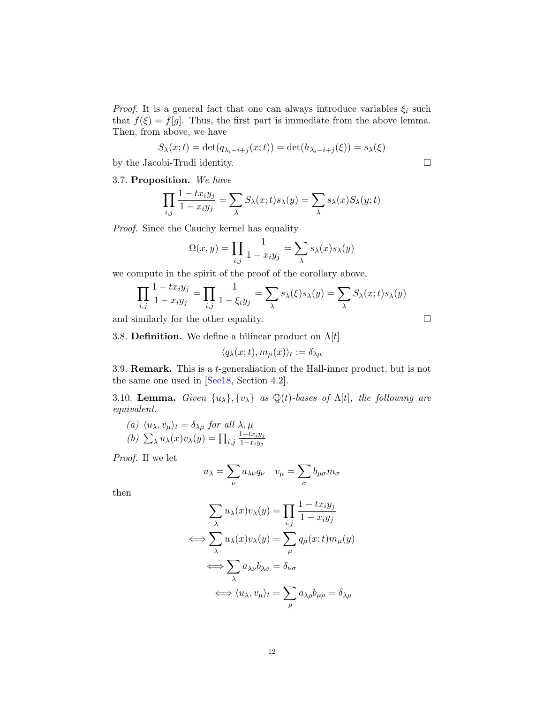*Proof.* It is a general fact that one can always introduce variables  $\xi_i$  such that  $f(\xi) = f[g]$ . Thus, the first part is immediate from the above lemma. Then, from above, we have

$$
S_{\lambda}(x;t) = \det(q_{\lambda_i - i + j}(x;t)) = \det(h_{\lambda_i - i + j}(\xi)) = s_{\lambda}(\xi)
$$

by the Jacobi-Trudi identity.

3.7. Proposition. We have

$$
\prod_{i,j} \frac{1 - tx_iy_j}{1 - x_iy_j} = \sum_{\lambda} S_{\lambda}(x; t)s_{\lambda}(y) = \sum_{\lambda} s_{\lambda}(x)S_{\lambda}(y; t)
$$

Proof. Since the Cauchy kernel has equality

$$
\Omega(x,y) = \prod_{i,j} \frac{1}{1 - x_i y_j} = \sum_{\lambda} s_{\lambda}(x) s_{\lambda}(y)
$$

we compute in the spirit of the proof of the corollary above,

$$
\prod_{i,j} \frac{1 - tx_iy_j}{1 - x_iy_j} = \prod_{i,j} \frac{1}{1 - \xi_iy_j} = \sum_{\lambda} s_{\lambda}(\xi)s_{\lambda}(y) = \sum_{\lambda} S_{\lambda}(x;t)s_{\lambda}(y)
$$

and similarly for the other equality.  $\Box$ 

3.8. **Definition.** We define a bilinear product on  $\Lambda[t]$ 

$$
\langle q_{\lambda}(x;t),m_{\mu}(x)\rangle_t:=\delta_{\lambda\mu}
$$

3.9. Remark. This is a t-generaliation of the Hall-inner product, but is not the same one used in [\[See18,](#page-14-1) Section 4.2].

<span id="page-11-0"></span>3.10. Lemma. Given  $\{u_{\lambda}\}, \{v_{\lambda}\}\$ as  $\mathbb{Q}(t)$ -bases of  $\Lambda[t]$ , the following are equivalent.

(a) 
$$
\langle u_{\lambda}, v_{\mu} \rangle_t = \delta_{\lambda \mu}
$$
 for all  $\lambda, \mu$   
(b)  $\sum_{\lambda} u_{\lambda}(x)v_{\lambda}(y) = \prod_{i,j} \frac{1 - tx_iy_j}{1 - x_iy_j}$ 

Proof. If we let

$$
u_{\lambda} = \sum_{\nu} a_{\lambda \nu} q_{\nu} \quad v_{\mu} = \sum_{\sigma} b_{\mu \sigma} m_{\sigma}
$$

then

$$
\sum_{\lambda} u_{\lambda}(x)v_{\lambda}(y) = \prod_{i,j} \frac{1 - tx_iy_j}{1 - x_iy_j}
$$
  

$$
\iff \sum_{\lambda} u_{\lambda}(x)v_{\lambda}(y) = \sum_{\mu} q_{\mu}(x;t)m_{\mu}(y)
$$
  

$$
\iff \sum_{\lambda} a_{\lambda\nu}b_{\lambda\sigma} = \delta_{\nu\sigma}
$$
  

$$
\iff \langle u_{\lambda}, v_{\mu} \rangle_t = \sum_{\rho} a_{\lambda\rho}b_{\mu\rho} = \delta_{\lambda\mu}
$$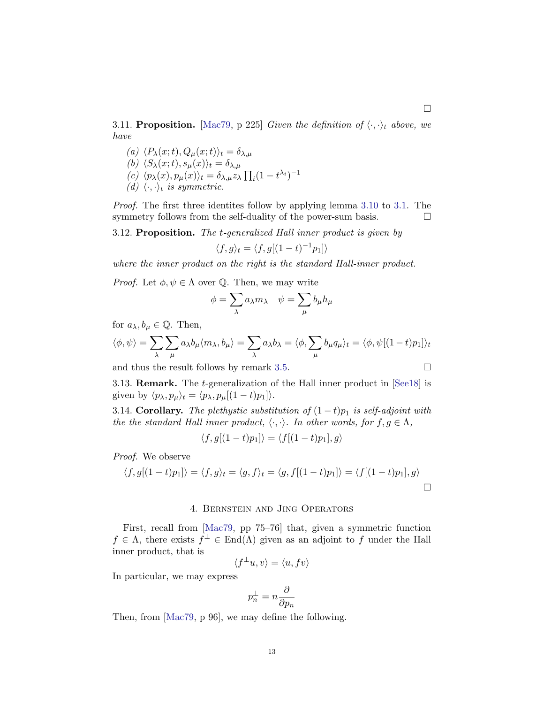3.11. Proposition. [\[Mac79,](#page-14-0) p 225] Given the definition of  $\langle \cdot, \cdot \rangle_t$  above, we have

- (a)  $\langle P_\lambda(x;t), Q_\mu(x;t)\rangle_t = \delta_{\lambda,\mu}$
- (b)  $\langle S_{\lambda}(x;t), s_{\mu}(x)\rangle_t = \delta_{\lambda,\mu}$
- (c)  $\langle p_\lambda(x), p_\mu(x) \rangle_t = \delta_{\lambda,\mu} z_\lambda \prod_i (1 t^{\lambda_i})^{-1}$
- (d)  $\langle \cdot, \cdot \rangle_t$  is symmetric.

Proof. The first three identites follow by applying lemma [3.10](#page-11-0) to [3.1.](#page-8-0) The symmetry follows from the self-duality of the power-sum basis.  $\Box$ 

3.12. Proposition. The t-generalized Hall inner product is given by

$$
\langle f, g \rangle_t = \langle f, g[(1-t)^{-1}p_1] \rangle
$$

where the inner product on the right is the standard Hall-inner product.

*Proof.* Let  $\phi, \psi \in \Lambda$  over Q. Then, we may write

$$
\phi = \sum_{\lambda} a_{\lambda} m_{\lambda} \quad \psi = \sum_{\mu} b_{\mu} h_{\mu}
$$

for  $a_{\lambda}, b_{\mu} \in \mathbb{Q}$ . Then,

$$
\langle \phi, \psi \rangle = \sum_{\lambda} \sum_{\mu} a_{\lambda} b_{\mu} \langle m_{\lambda}, b_{\mu} \rangle = \sum_{\lambda} a_{\lambda} b_{\lambda} = \langle \phi, \sum_{\mu} b_{\mu} q_{\mu} \rangle_t = \langle \phi, \psi[(1-t)p_1] \rangle_t
$$

and thus the result follows by remark [3.5.](#page-10-0)

3.13. Remark. The t-generalization of the Hall inner product in [\[See18\]](#page-14-1) is given by  $\langle p_{\lambda}, p_{\mu} \rangle_t = \langle p_{\lambda}, p_{\mu}[(1 - t)p_1]\rangle.$ 

3.14. Corollary. The plethystic substitution of  $(1-t)p_1$  is self-adjoint with the the standard Hall inner product,  $\langle \cdot, \cdot \rangle$ . In other words, for  $f, g \in \Lambda$ ,

$$
\langle f, g[(1-t)p_1] \rangle = \langle f[(1-t)p_1], g \rangle
$$

Proof. We observe

$$
\langle f, g[(1-t)p_1] \rangle = \langle f, g \rangle_t = \langle g, f \rangle_t = \langle g, f[(1-t)p_1] \rangle = \langle f[(1-t)p_1], g \rangle
$$

#### 4. Bernstein and Jing Operators

First, recall from [\[Mac79,](#page-14-0) pp 75–76] that, given a symmetric function  $f \in \Lambda$ , there exists  $f^{\perp} \in \text{End}(\Lambda)$  given as an adjoint to f under the Hall inner product, that is

$$
\langle f^\perp u, v \rangle = \langle u, fv \rangle
$$

In particular, we may express

$$
p_n^\perp = n \frac{\partial}{\partial p_n}
$$

Then, from [\[Mac79,](#page-14-0) p 96], we may define the following.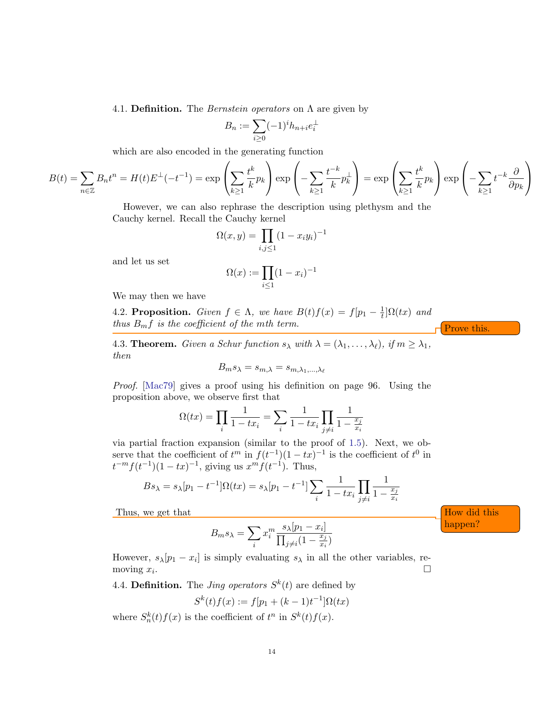4.1. Definition. The *Bernstein operators* on  $\Lambda$  are given by

$$
B_n := \sum_{i \ge 0} (-1)^i h_{n+i} e_i^{\perp}
$$

which are also encoded in the generating function

$$
B(t) = \sum_{n \in \mathbb{Z}} B_n t^n = H(t) E^{\perp}(-t^{-1}) = \exp\left(\sum_{k \ge 1} \frac{t^k}{k} p_k\right) \exp\left(-\sum_{k \ge 1} \frac{t^{-k}}{k} p_k^{\perp}\right) = \exp\left(\sum_{k \ge 1} \frac{t^k}{k} p_k\right) \exp\left(-\sum_{k \ge 1} t^{-k} \frac{\partial}{\partial p_k}\right)
$$

However, we can also rephrase the description using plethysm and the Cauchy kernel. Recall the Cauchy kernel

$$
\Omega(x, y) = \prod_{i, j \le 1} (1 - x_i y_i)^{-1}
$$

and let us set

$$
\Omega(x) := \prod_{i \le 1} (1 - x_i)^{-1}
$$

We may then we have

4.2. Proposition. Given  $f \in \Lambda$ , we have  $B(t)f(x) = f[p_1 - \frac{1}{t}]$  $\frac{1}{t}$ ] $\Omega(tx)$  and thus  $B_m f$  is the coefficient of the mth term.

4.3. **Theorem.** Given a Schur function  $s_{\lambda}$  with  $\lambda = (\lambda_1, \ldots, \lambda_{\ell}),$  if  $m \geq \lambda_1$ , then

$$
B_m s_\lambda = s_{m,\lambda} = s_{m,\lambda_1,\dots,\lambda_\ell}
$$

Proof. [\[Mac79\]](#page-14-0) gives a proof using his definition on page 96. Using the proposition above, we observe first that

$$
\Omega(tx) = \prod_{i} \frac{1}{1 - tx_i} = \sum_{i} \frac{1}{1 - tx_i} \prod_{j \neq i} \frac{1}{1 - \frac{x_j}{x_i}}
$$

via partial fraction expansion (similar to the proof of [1.5\)](#page-1-0). Next, we observe that the coefficient of  $t^m$  in  $f(t^{-1})(1 - tx)^{-1}$  is the coefficient of  $t^0$  in  $t^{-m}f(t^{-1})(1-tx)^{-1}$ , giving us  $x^{m}f(t^{-1})$ . Thus,

$$
Bs_{\lambda} = s_{\lambda}[p_1 - t^{-1}]\Omega(tx) = s_{\lambda}[p_1 - t^{-1}]\sum_{i} \frac{1}{1 - tx_i} \prod_{j \neq i} \frac{1}{1 - \frac{x_j}{x_i}}
$$

Thus, we get that  $\Box$  How did this

$$
B_m s_\lambda = \sum_i x_i^m \frac{s_\lambda [p_1 - x_i]}{\prod_{j \neq i} (1 - \frac{x_j}{x_i})}
$$

However,  $s_{\lambda}[p_1 - x_i]$  is simply evaluating  $s_{\lambda}$  in all the other variables, removing  $x_i$ . .

4.4. Definition. The *Jing operators*  $S^k(t)$  are defined by

$$
S^{k}(t)f(x) := f[p_{1} + (k-1)t^{-1}]\Omega(tx)
$$

where  $S_n^k(t)f(x)$  is the coefficient of  $t^n$  in  $S^k(t)f(x)$ .

14

happen?